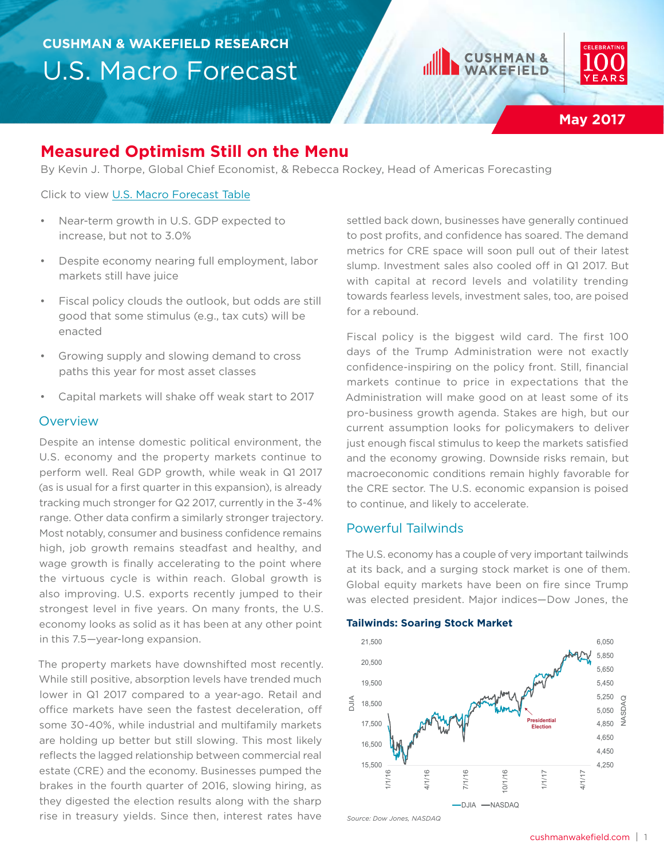



# **Measured Optimism Still on the Menu**

By Kevin J. Thorpe, Global Chief Economist, & Rebecca Rockey, Head of Americas Forecasting

Click to view [U.S. Macro Forecast Table](#page-6-0)

- Near-term growth in U.S. GDP expected to increase, but not to 3.0%
- Despite economy nearing full employment, labor markets still have juice
- Fiscal policy clouds the outlook, but odds are still good that some stimulus (e.g., tax cuts) will be enacted
- Growing supply and slowing demand to cross paths this year for most asset classes
- Capital markets will shake off weak start to 2017

### **Overview**

Despite an intense domestic political environment, the U.S. economy and the property markets continue to perform well. Real GDP growth, while weak in Q1 2017 (as is usual for a first quarter in this expansion), is already tracking much stronger for Q2 2017, currently in the 3-4% range. Other data confirm a similarly stronger trajectory. Most notably, consumer and business confidence remains high, job growth remains steadfast and healthy, and wage growth is finally accelerating to the point where the virtuous cycle is within reach. Global growth is also improving. U.S. exports recently jumped to their strongest level in five years. On many fronts, the U.S. economy looks as solid as it has been at any other point in this 7.5—year-long expansion.

The property markets have downshifted most recently. While still positive, absorption levels have trended much lower in Q1 2017 compared to a year-ago. Retail and office markets have seen the fastest deceleration, off some 30-40%, while industrial and multifamily markets are holding up better but still slowing. This most likely reflects the lagged relationship between commercial real estate (CRE) and the economy. Businesses pumped the brakes in the fourth quarter of 2016, slowing hiring, as they digested the election results along with the sharp rise in treasury yields. Since then, interest rates have

settled back down, businesses have generally continued to post profits, and confidence has soared. The demand metrics for CRE space will soon pull out of their latest slump. Investment sales also cooled off in Q1 2017. But with capital at record levels and volatility trending towards fearless levels, investment sales, too, are poised for a rebound.

Fiscal policy is the biggest wild card. The first 100 days of the Trump Administration were not exactly confidence-inspiring on the policy front. Still, financial markets continue to price in expectations that the Administration will make good on at least some of its pro-business growth agenda. Stakes are high, but our current assumption looks for policymakers to deliver just enough fiscal stimulus to keep the markets satisfied and the economy growing. Downside risks remain, but macroeconomic conditions remain highly favorable for the CRE sector. The U.S. economic expansion is poised to continue, and likely to accelerate.

### Powerful Tailwinds

The U.S. economy has a couple of very important tailwinds at its back, and a surging stock market is one of them. Global equity markets have been on fire since Trump was elected president. Major indices—Dow Jones, the

#### **Tailwinds: Soaring Stock Market**



cushmanwakefield.com | 1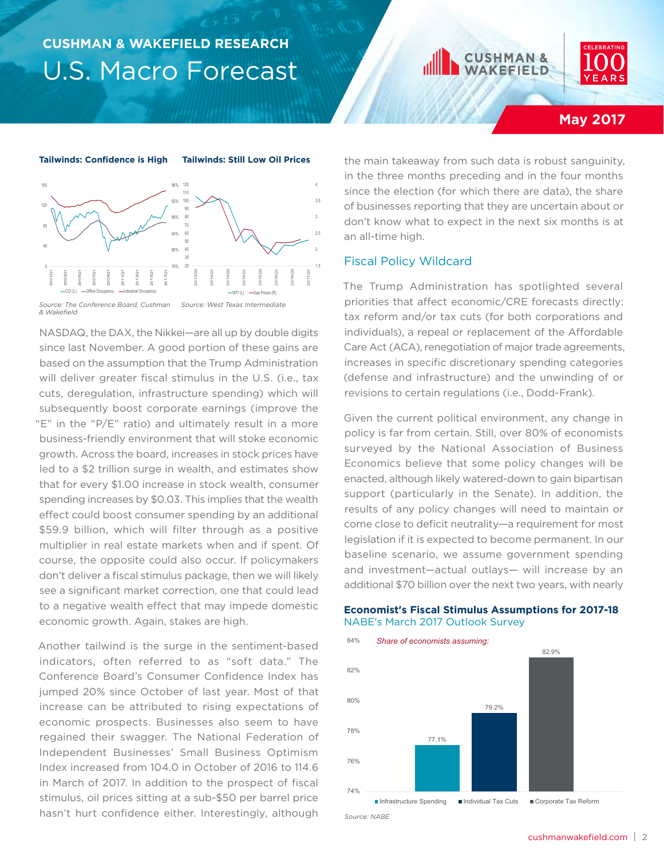



## **May 2017**



*& Wakefield*

NASDAQ, the DAX, the Nikkei—are all up by double digits since last November. A good portion of these gains are based on the assumption that the Trump Administration will deliver greater fiscal stimulus in the U.S. (i.e., tax cuts, deregulation, infrastructure spending) which will subsequently boost corporate earnings (improve the "E" in the "P/E" ratio) and ultimately result in a more business-friendly environment that will stoke economic growth. Across the board, increases in stock prices have led to a \$2 trillion surge in wealth, and estimates show that for every \$1.00 increase in stock wealth, consumer spending increases by \$0.03. This implies that the wealth effect could boost consumer spending by an additional \$59.9 billion, which will filter through as a positive multiplier in real estate markets when and if spent. Of course, the opposite could also occur. If policymakers don't deliver a fiscal stimulus package, then we will likely see a significant market correction, one that could lead to a negative wealth effect that may impede domestic economic growth. Again, stakes are high.

Another tailwind is the surge in the sentiment-based indicators, often referred to as "soft data." The Conference Board's Consumer Confidence Index has jumped 20% since October of last year. Most of that increase can be attributed to rising expectations of economic prospects. Businesses also seem to have regained their swagger. The National Federation of Independent Businesses' Small Business Optimism Index increased from 104.0 in October of 2016 to 114.6 in March of 2017. In addition to the prospect of fiscal stimulus, oil prices sitting at a sub-\$50 per barrel price hasn't hurt confidence either. Interestingly, although

the main takeaway from such data is robust sanguinity, in the three months preceding and in the four months since the election (for which there are data), the share of businesses reporting that they are uncertain about or don't know what to expect in the next six months is at an all-time high.

### Fiscal Policy Wildcard

The Trump Administration has spotlighted several priorities that affect economic/CRE forecasts directly: tax reform and/or tax cuts (for both corporations and individuals), a repeal or replacement of the Affordable Care Act (ACA), renegotiation of major trade agreements, increases in specific discretionary spending categories (defense and infrastructure) and the unwinding of or revisions to certain regulations (i.e., Dodd-Frank).

Given the current political environment, any change in policy is far from certain. Still, over 80% of economists surveyed by the National Association of Business Economics believe that some policy changes will be enacted, although likely watered-down to gain bipartisan support (particularly in the Senate). In addition, the results of any policy changes will need to maintain or come close to deficit neutrality—a requirement for most legislation if it is expected to become permanent. In our baseline scenario, we assume government spending and investment—actual outlays— will increase by an additional \$70 billion over the next two years, with nearly

#### **Economist's Fiscal Stimulus Assumptions for 2017-18** NABE's March 2017 Outlook Survey



*Source: NABE*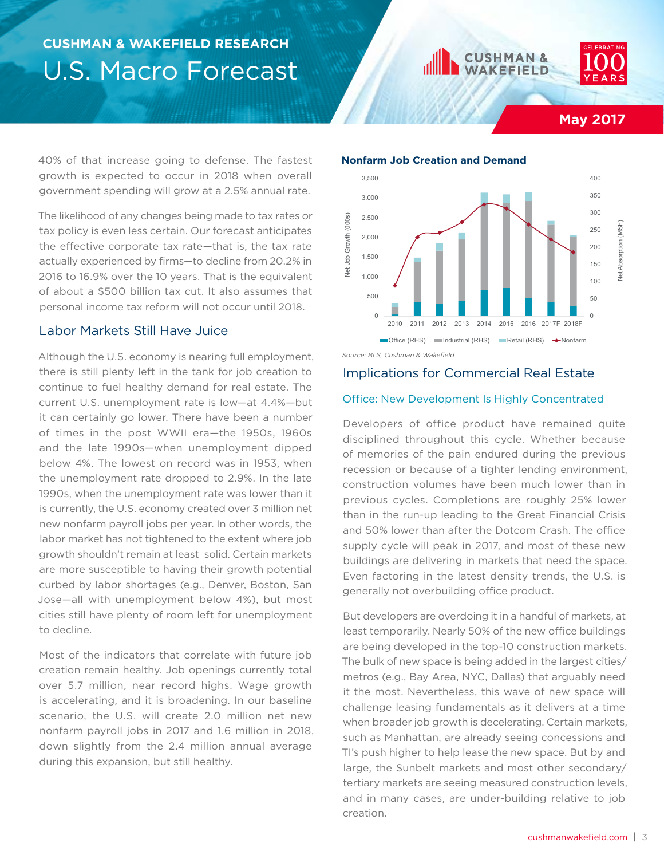



## **May 2017**

40% of that increase going to defense. The fastest growth is expected to occur in 2018 when overall government spending will grow at a 2.5% annual rate.

The likelihood of any changes being made to tax rates or tax policy is even less certain. Our forecast anticipates the effective corporate tax rate—that is, the tax rate actually experienced by firms—to decline from 20.2% in 2016 to 16.9% over the 10 years. That is the equivalent of about a \$500 billion tax cut. It also assumes that personal income tax reform will not occur until 2018.

### Labor Markets Still Have Juice

Although the U.S. economy is nearing full employment, there is still plenty left in the tank for job creation to continue to fuel healthy demand for real estate. The current U.S. unemployment rate is low—at 4.4%—but it can certainly go lower. There have been a number of times in the post WWII era—the 1950s, 1960s and the late 1990s—when unemployment dipped below 4%. The lowest on record was in 1953, when the unemployment rate dropped to 2.9%. In the late 1990s, when the unemployment rate was lower than it is currently, the U.S. economy created over 3 million net new nonfarm payroll jobs per year. In other words, the labor market has not tightened to the extent where job growth shouldn't remain at least solid. Certain markets are more susceptible to having their growth potential curbed by labor shortages (e.g., Denver, Boston, San Jose—all with unemployment below 4%), but most cities still have plenty of room left for unemployment to decline.

Most of the indicators that correlate with future job creation remain healthy. Job openings currently total over 5.7 million, near record highs. Wage growth is accelerating, and it is broadening. In our baseline scenario, the U.S. will create 2.0 million net new nonfarm payroll jobs in 2017 and 1.6 million in 2018, down slightly from the 2.4 million annual average during this expansion, but still healthy.



*Source: BLS, Cushman & Wakefield* 

## Implications for Commercial Real Estate

### Office: New Development Is Highly Concentrated

Developers of office product have remained quite disciplined throughout this cycle. Whether because of memories of the pain endured during the previous recession or because of a tighter lending environment, construction volumes have been much lower than in previous cycles. Completions are roughly 25% lower than in the run-up leading to the Great Financial Crisis and 50% lower than after the Dotcom Crash. The office supply cycle will peak in 2017, and most of these new buildings are delivering in markets that need the space. Even factoring in the latest density trends, the U.S. is generally not overbuilding office product.

But developers are overdoing it in a handful of markets, at least temporarily. Nearly 50% of the new office buildings are being developed in the top-10 construction markets. The bulk of new space is being added in the largest cities/ metros (e.g., Bay Area, NYC, Dallas) that arguably need it the most. Nevertheless, this wave of new space will challenge leasing fundamentals as it delivers at a time when broader job growth is decelerating. Certain markets, such as Manhattan, are already seeing concessions and TI's push higher to help lease the new space. But by and large, the Sunbelt markets and most other secondary/ tertiary markets are seeing measured construction levels, and in many cases, are under-building relative to job creation.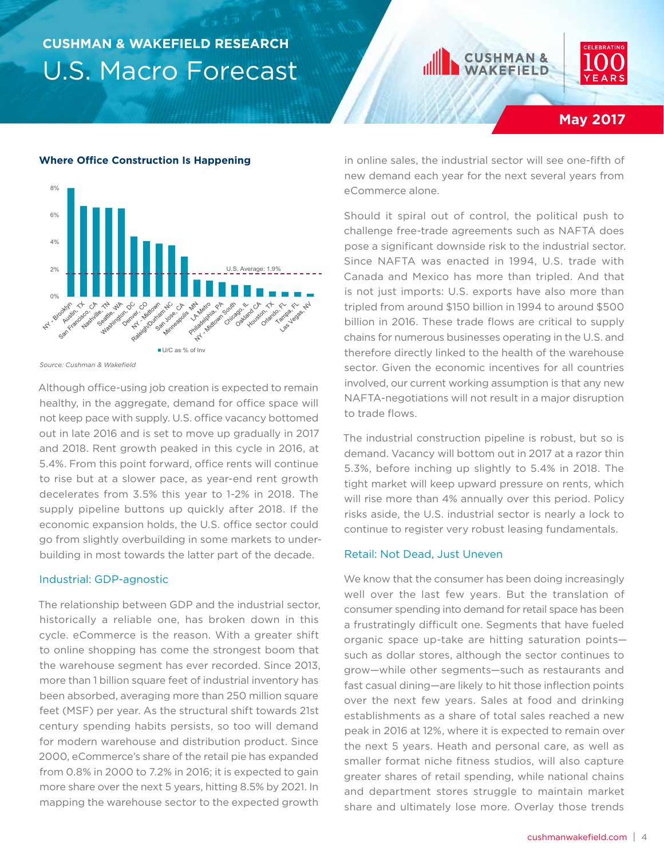



**May 2017**

#### **Where Office Construction Is Happening**



*Source: Cushman & Wakefield* 

Although office-using job creation is expected to remain healthy, in the aggregate, demand for office space will not keep pace with supply. U.S. office vacancy bottomed out in late 2016 and is set to move up gradually in 2017 and 2018. Rent growth peaked in this cycle in 2016, at 5.4%. From this point forward, office rents will continue to rise but at a slower pace, as year-end rent growth decelerates from 3.5% this year to 1-2% in 2018. The supply pipeline buttons up quickly after 2018. If the economic expansion holds, the U.S. office sector could go from slightly overbuilding in some markets to underbuilding in most towards the latter part of the decade.

#### Industrial: GDP-agnostic

The relationship between GDP and the industrial sector, historically a reliable one, has broken down in this cycle. eCommerce is the reason. With a greater shift to online shopping has come the strongest boom that the warehouse segment has ever recorded. Since 2013, more than 1 billion square feet of industrial inventory has been absorbed, averaging more than 250 million square feet (MSF) per year. As the structural shift towards 21st century spending habits persists, so too will demand for modern warehouse and distribution product. Since 2000, eCommerce's share of the retail pie has expanded from 0.8% in 2000 to 7.2% in 2016; it is expected to gain more share over the next 5 years, hitting 8.5% by 2021. In mapping the warehouse sector to the expected growth

in online sales, the industrial sector will see one-fifth of new demand each year for the next several years from eCommerce alone.

Should it spiral out of control, the political push to challenge free-trade agreements such as NAFTA does pose a significant downside risk to the industrial sector. Since NAFTA was enacted in 1994, U.S. trade with Canada and Mexico has more than tripled. And that is not just imports: U.S. exports have also more than tripled from around \$150 billion in 1994 to around \$500 billion in 2016. These trade flows are critical to supply chains for numerous businesses operating in the U.S. and therefore directly linked to the health of the warehouse sector. Given the economic incentives for all countries involved, our current working assumption is that any new NAFTA-negotiations will not result in a major disruption to trade flows.

The industrial construction pipeline is robust, but so is demand. Vacancy will bottom out in 2017 at a razor thin 5.3%, before inching up slightly to 5.4% in 2018. The tight market will keep upward pressure on rents, which will rise more than 4% annually over this period. Policy risks aside, the U.S. industrial sector is nearly a lock to continue to register very robust leasing fundamentals.

#### Retail: Not Dead, Just Uneven

We know that the consumer has been doing increasingly well over the last few years. But the translation of consumer spending into demand for retail space has been a frustratingly difficult one. Segments that have fueled organic space up-take are hitting saturation points such as dollar stores, although the sector continues to grow—while other segments—such as restaurants and fast casual dining—are likely to hit those inflection points over the next few years. Sales at food and drinking establishments as a share of total sales reached a new peak in 2016 at 12%, where it is expected to remain over the next 5 years. Heath and personal care, as well as smaller format niche fitness studios, will also capture greater shares of retail spending, while national chains and department stores struggle to maintain market share and ultimately lose more. Overlay those trends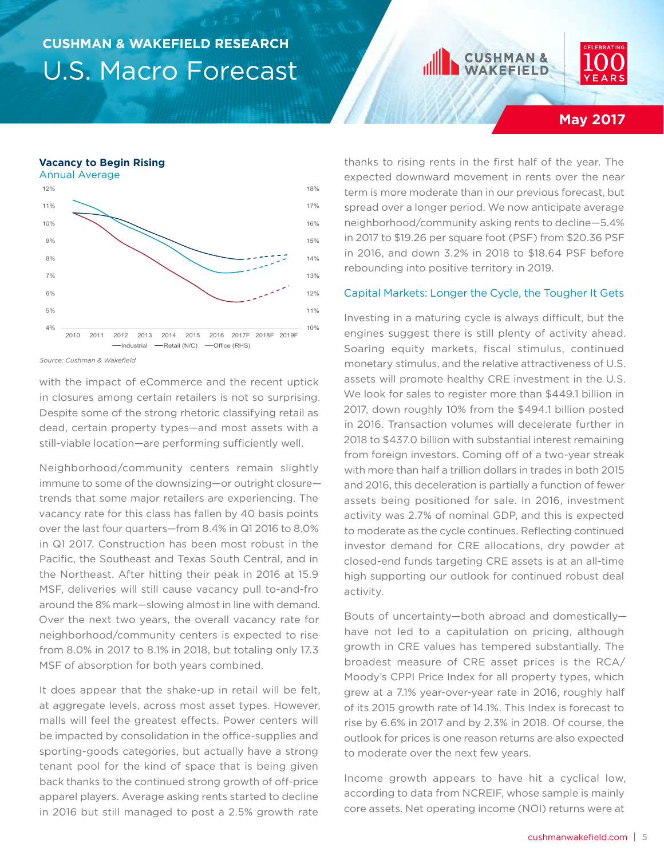## **JSHMAN & KEFIELD**



## **May 2017**

#### **Vacancy to Begin Rising**



*Source: Cushman & Wakefield* 

with the impact of eCommerce and the recent uptick in closures among certain retailers is not so surprising. Despite some of the strong rhetoric classifying retail as dead, certain property types—and most assets with a still-viable location—are performing sufficiently well.

Neighborhood/community centers remain slightly immune to some of the downsizing—or outright closure trends that some major retailers are experiencing. The vacancy rate for this class has fallen by 40 basis points over the last four quarters—from 8.4% in Q1 2016 to 8.0% in Q1 2017. Construction has been most robust in the Pacific, the Southeast and Texas South Central, and in the Northeast. After hitting their peak in 2016 at 15.9 MSF, deliveries will still cause vacancy pull to-and-fro around the 8% mark—slowing almost in line with demand. Over the next two years, the overall vacancy rate for neighborhood/community centers is expected to rise from 8.0% in 2017 to 8.1% in 2018, but totaling only 17.3 MSF of absorption for both years combined.

It does appear that the shake-up in retail will be felt, at aggregate levels, across most asset types. However, malls will feel the greatest effects. Power centers will be impacted by consolidation in the office-supplies and sporting-goods categories, but actually have a strong tenant pool for the kind of space that is being given back thanks to the continued strong growth of off-price apparel players. Average asking rents started to decline in 2016 but still managed to post a 2.5% growth rate

thanks to rising rents in the first half of the year. The expected downward movement in rents over the near term is more moderate than in our previous forecast, but spread over a longer period. We now anticipate average neighborhood/community asking rents to decline—5.4% in 2017 to \$19.26 per square foot (PSF) from \$20.36 PSF in 2016, and down 3.2% in 2018 to \$18.64 PSF before rebounding into positive territory in 2019.

#### Capital Markets: Longer the Cycle, the Tougher It Gets

Investing in a maturing cycle is always difficult, but the engines suggest there is still plenty of activity ahead. Soaring equity markets, fiscal stimulus, continued monetary stimulus, and the relative attractiveness of U.S. assets will promote healthy CRE investment in the U.S. We look for sales to register more than \$449.1 billion in 2017, down roughly 10% from the \$494.1 billion posted in 2016. Transaction volumes will decelerate further in 2018 to \$437.0 billion with substantial interest remaining from foreign investors. Coming off of a two-year streak with more than half a trillion dollars in trades in both 2015 and 2016, this deceleration is partially a function of fewer assets being positioned for sale. In 2016, investment activity was 2.7% of nominal GDP, and this is expected to moderate as the cycle continues. Reflecting continued investor demand for CRE allocations, dry powder at closed-end funds targeting CRE assets is at an all-time high supporting our outlook for continued robust deal activity.

Bouts of uncertainty—both abroad and domestically have not led to a capitulation on pricing, although growth in CRE values has tempered substantially. The broadest measure of CRE asset prices is the RCA/ Moody's CPPI Price Index for all property types, which grew at a 7.1% year-over-year rate in 2016, roughly half of its 2015 growth rate of 14.1%. This Index is forecast to rise by 6.6% in 2017 and by 2.3% in 2018. Of course, the outlook for prices is one reason returns are also expected to moderate over the next few years.

Income growth appears to have hit a cyclical low, according to data from NCREIF, whose sample is mainly core assets. Net operating income (NOI) returns were at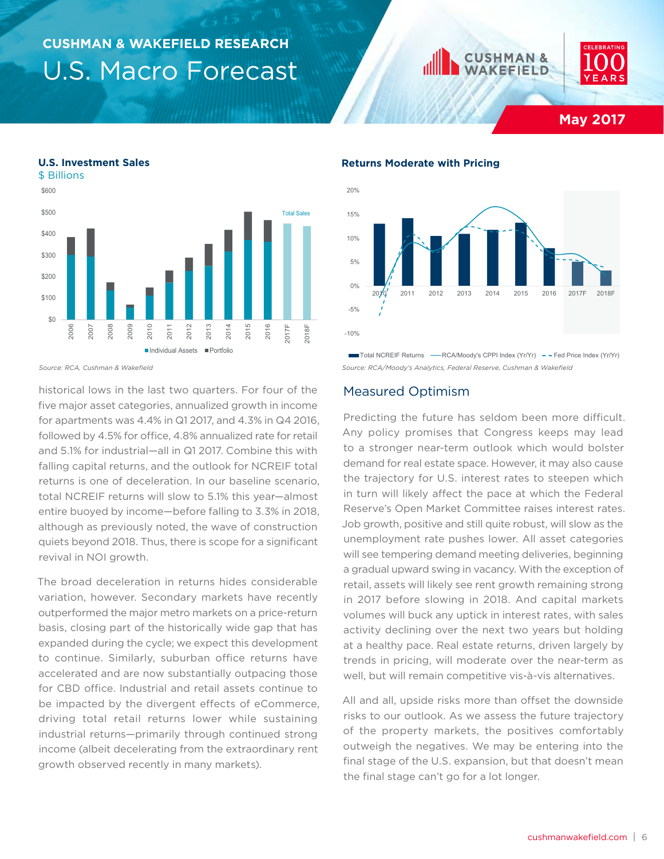



**May 2017**



*Source: RCA, Cushman & Wakefield* 

**U.S. Investment Sales**

historical lows in the last two quarters. For four of the five major asset categories, annualized growth in income for apartments was 4.4% in Q1 2017, and 4.3% in Q4 2016, followed by 4.5% for office, 4.8% annualized rate for retail and 5.1% for industrial—all in Q1 2017. Combine this with falling capital returns, and the outlook for NCREIF total returns is one of deceleration. In our baseline scenario, total NCREIF returns will slow to 5.1% this year—almost entire buoyed by income—before falling to 3.3% in 2018, although as previously noted, the wave of construction quiets beyond 2018. Thus, there is scope for a significant revival in NOI growth.

The broad deceleration in returns hides considerable variation, however. Secondary markets have recently outperformed the major metro markets on a price-return basis, closing part of the historically wide gap that has expanded during the cycle; we expect this development to continue. Similarly, suburban office returns have accelerated and are now substantially outpacing those for CBD office. Industrial and retail assets continue to be impacted by the divergent effects of eCommerce, driving total retail returns lower while sustaining industrial returns—primarily through continued strong income (albeit decelerating from the extraordinary rent growth observed recently in many markets).

#### **Returns Moderate with Pricing**



*Source: RCA/Moody's Analytics, Federal Reserve, Cushman & Wakefield* 

#### Measured Optimism

Predicting the future has seldom been more difficult. Any policy promises that Congress keeps may lead to a stronger near-term outlook which would bolster demand for real estate space. However, it may also cause the trajectory for U.S. interest rates to steepen which in turn will likely affect the pace at which the Federal Reserve's Open Market Committee raises interest rates. Job growth, positive and still quite robust, will slow as the unemployment rate pushes lower. All asset categories will see tempering demand meeting deliveries, beginning a gradual upward swing in vacancy. With the exception of retail, assets will likely see rent growth remaining strong in 2017 before slowing in 2018. And capital markets volumes will buck any uptick in interest rates, with sales activity declining over the next two years but holding at a healthy pace. Real estate returns, driven largely by trends in pricing, will moderate over the near-term as well, but will remain competitive vis-à-vis alternatives.

All and all, upside risks more than offset the downside risks to our outlook. As we assess the future trajectory of the property markets, the positives comfortably outweigh the negatives. We may be entering into the final stage of the U.S. expansion, but that doesn't mean the final stage can't go for a lot longer.